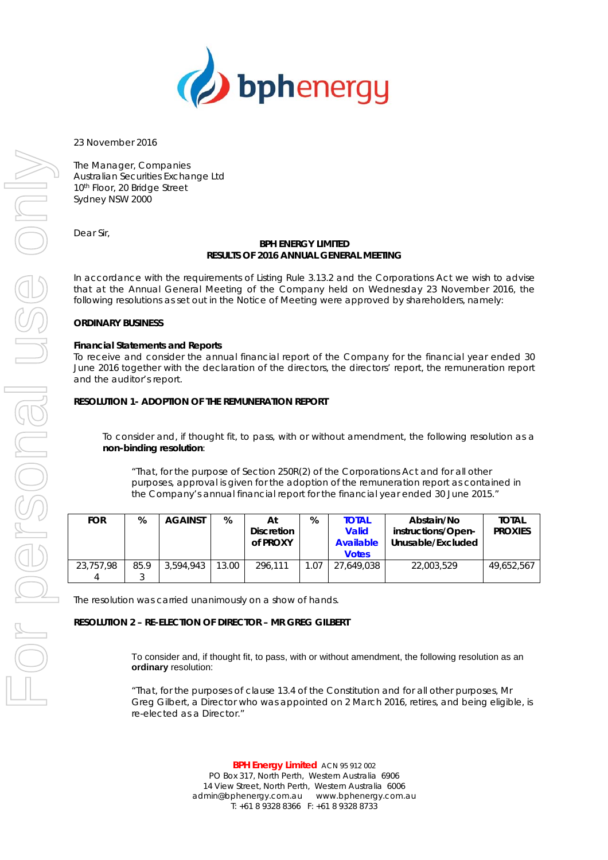

23 November 2016

The Manager, Companies Australian Securities Exchange Ltd 10th Floor, 20 Bridge Street Sydney NSW 2000

Dear Sir,

#### **BPH ENERGY LIMITED RESULTS OF 2016 ANNUAL GENERAL MEETING**

In accordance with the requirements of Listing Rule 3.13.2 and the Corporations Act we wish to advise that at the Annual General Meeting of the Company held on Wednesday 23 November 2016, the following resolutions as set out in the Notice of Meeting were approved by shareholders, namely:

### **ORDINARY BUSINESS**

#### **Financial Statements and Reports**

To receive and consider the annual financial report of the Company for the financial year ended 30 June 2016 together with the declaration of the directors, the directors' report, the remuneration report and the auditor's report.

### **RESOLUTION 1- ADOPTION OF THE REMUNERATION REPORT**

To consider and, if thought fit, to pass, with or without amendment, the following resolution as a **non-binding resolution**:

*"That, for the purpose of Section 250R(2) of the Corporations Act and for all other purposes, approval is given for the adoption of the remuneration report as contained in the Company's annual financial report for the financial year ended 30 June 2015."* 

| <b>FOR</b>     | %    | <b>AGAINST</b> | %     | At<br><b>Discretion</b><br>of PROXY | %    | <b>TOTAL</b><br><b>Valid</b><br>Available<br><b>Votes</b> | Abstain/No<br>instructions/Open-<br>Unusable/Excluded | <b>TOTAL</b><br><b>PROXIES</b> |
|----------------|------|----------------|-------|-------------------------------------|------|-----------------------------------------------------------|-------------------------------------------------------|--------------------------------|
| 23.757.98<br>4 | 85.9 | 3.594.943      | 13.00 | 296.111                             | 1.07 | 27,649,038                                                | 22,003,529                                            | 49.652.567                     |

The resolution was carried unanimously on a show of hands.

### **RESOLUTION 2 – RE-ELECTION OF DIRECTOR – MR GREG GILBERT**

To consider and, if thought fit, to pass, with or without amendment, the following resolution as an **ordinary** resolution:

*"That, for the purposes of clause 13.4 of the Constitution and for all other purposes, Mr Greg Gilbert, a Director who was appointed on 2 March 2016, retires, and being eligible, is re-elected as a Director."* 

> **BPH Energy Limited** ACN 95 912 002 PO Box 317, North Perth, Western Australia 6906 14 View Street, North Perth, Western Australia 6006 admin@bphenergy.com.au www.bphenergy.com.au T: +61 8 9328 8366 F: +61 8 9328 8733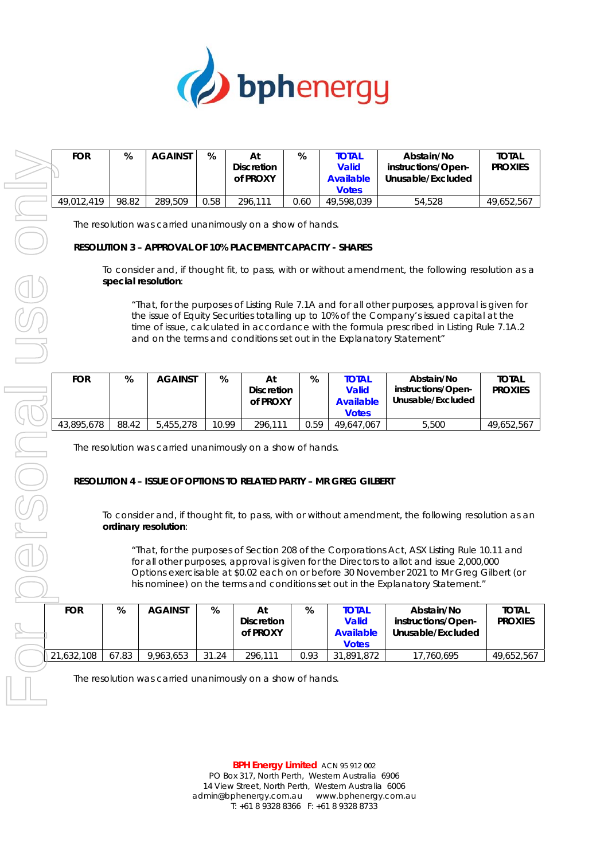

| <b>FOR</b> | %     | <b>AGAINST</b>                                                                                                           | %     | At<br><b>Discretion</b><br>of PROXY | %    | <b>TOTAL</b><br><b>Valid</b><br><b>Available</b><br><b>Votes</b>          | Abstain/No<br>instructions/Open-<br>Unusable/Excluded                                                                                                                                                                                                                                                                                                                                                                                                                       | <b>TOTAL</b><br><b>PROXIES</b> |
|------------|-------|--------------------------------------------------------------------------------------------------------------------------|-------|-------------------------------------|------|---------------------------------------------------------------------------|-----------------------------------------------------------------------------------------------------------------------------------------------------------------------------------------------------------------------------------------------------------------------------------------------------------------------------------------------------------------------------------------------------------------------------------------------------------------------------|--------------------------------|
| 49,012,419 | 98.82 | 289,509                                                                                                                  | 0.58  | 296,111                             | 0.60 | 49,598,039                                                                | 54,528                                                                                                                                                                                                                                                                                                                                                                                                                                                                      | 49,652,567                     |
|            |       | The resolution was carried unanimously on a show of hands.<br>RESOLUTION 3 - APPROVAL OF 10% PLACEMENT CAPACITY - SHARES |       |                                     |      |                                                                           |                                                                                                                                                                                                                                                                                                                                                                                                                                                                             |                                |
|            |       | special resolution:                                                                                                      |       |                                     |      |                                                                           | To consider and, if thought fit, to pass, with or without amendment, the following resolution as a<br>"That, for the purposes of Listing Rule 7.1A and for all other purposes, approval is given for                                                                                                                                                                                                                                                                        |                                |
|            |       |                                                                                                                          |       |                                     |      |                                                                           | the issue of Equity Securities totalling up to 10% of the Company's issued capital at the<br>time of issue, calculated in accordance with the formula prescribed in Listing Rule 7.1A.2<br>and on the terms and conditions set out in the Explanatory Statement"                                                                                                                                                                                                            |                                |
| <b>FOR</b> | %     | <b>AGAINST</b>                                                                                                           | %     | At<br><b>Discretion</b><br>of PROXY | $\%$ | <b>TOTAL</b><br><b>Valid</b><br><b>Available</b><br><b>Votes</b>          | Abstain/No<br>instructions/Open-<br>Unusable/Excluded                                                                                                                                                                                                                                                                                                                                                                                                                       | <b>TOTAL</b><br><b>PROXIES</b> |
| 43,895,678 | 88.42 | 5,455,278                                                                                                                | 10.99 | 296,111                             | 0.59 | 49,647,067                                                                | 5,500                                                                                                                                                                                                                                                                                                                                                                                                                                                                       | 49,652,567                     |
|            |       | The resolution was carried unanimously on a show of hands.<br>ordinary resolution:                                       |       |                                     |      | <b>RESOLUTION 4 - ISSUE OF OPTIONS TO RELATED PARTY - MR GREG GILBERT</b> | To consider and, if thought fit, to pass, with or without amendment, the following resolution as an<br>"That, for the purposes of Section 208 of the Corporations Act, ASX Listing Rule 10.11 and<br>for all other purposes, approval is given for the Directors to allot and issue 2,000,000<br>Options exercisable at \$0.02 each on or before 30 November 2021 to Mr Greg Gilbert (or<br>his nominee) on the terms and conditions set out in the Explanatory Statement." |                                |
|            |       |                                                                                                                          |       |                                     |      |                                                                           |                                                                                                                                                                                                                                                                                                                                                                                                                                                                             |                                |
| <b>FOR</b> | %     | <b>AGAINST</b>                                                                                                           | $\%$  | At<br><b>Discretion</b><br>of PROXY | $\%$ | <b>TOTAL</b><br><b>Valid</b><br><b>Available</b><br><b>Votes</b>          | Abstain/No<br>instructions/Open-<br>Unusable/Excluded                                                                                                                                                                                                                                                                                                                                                                                                                       | <b>TOTAL</b><br><b>PROXIES</b> |
| 21,632,108 | 67.83 | 9,963,653                                                                                                                | 31.24 | 296,111                             | 0.93 | 31,891,872                                                                | 17,760,695                                                                                                                                                                                                                                                                                                                                                                                                                                                                  | 49,652,567                     |
|            |       | The resolution was carried unanimously on a show of hands.                                                               |       |                                     |      |                                                                           |                                                                                                                                                                                                                                                                                                                                                                                                                                                                             |                                |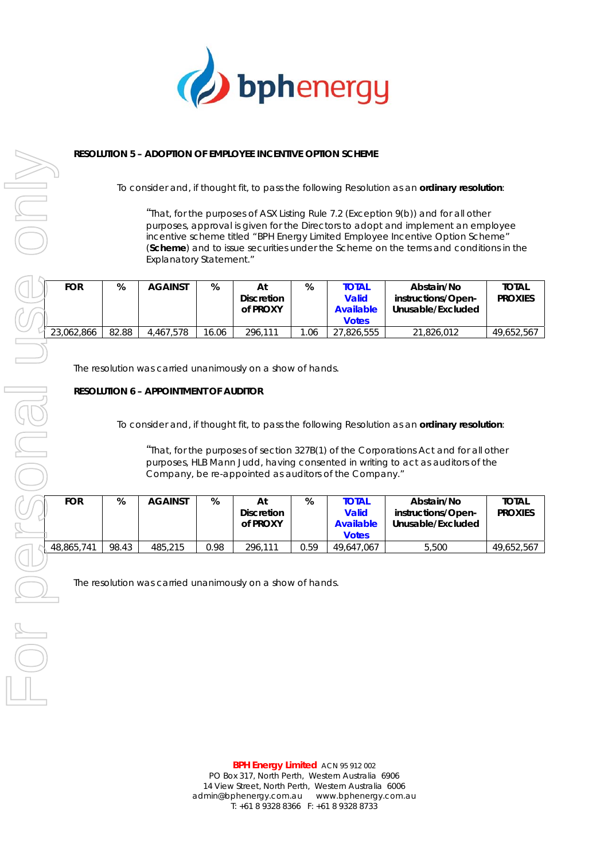

## **RESOLUTION 5 – ADOPTION OF EMPLOYEE INCENTIVE OPTION SCHEME**

To consider and, if thought fit, to pass the following Resolution as an **ordinary resolution**:

*"That, for the purposes of ASX Listing Rule 7.2 (Exception 9(b)) and for all other purposes, approval is given for the Directors to adopt and implement an employee incentive scheme titled "BPH Energy Limited Employee Incentive Option Scheme" (Scheme) and to issue securities under the Scheme on the terms and conditions in the Explanatory Statement."* 

| <b>FOR</b> | %     | <b>AGAINST</b> | %     | Αt<br><b>Discretion</b><br>of PROXY | %    | <b>TOTAL</b><br><b>Valid</b><br>Available<br><b>Votes</b> | Abstain/No<br>instructions/Open-<br>Unusable/Excluded | <b>TOTAL</b><br><b>PROXIES</b> |
|------------|-------|----------------|-------|-------------------------------------|------|-----------------------------------------------------------|-------------------------------------------------------|--------------------------------|
| 23,062,866 | 82.88 | 4.467.578      | 16.06 | 296.111                             | 1.06 | .826.555                                                  | 21,826,012                                            | 49,652,567                     |

The resolution was carried unanimously on a show of hands.

### **RESOLUTION 6 – APPOINTMENT OF AUDITOR**

To consider and, if thought fit, to pass the following Resolution as an **ordinary resolution**:

*"That, for the purposes of section 327B(1) of the Corporations Act and for all other purposes, HLB Mann Judd, having consented in writing to act as auditors of the Company, be re-appointed as auditors of the Company."* 

| <b>FOR</b> | %     | <b>AGAINST</b> | %    | Αt<br><b>Discretion</b><br>of PROXY | %    | <b>TOTAL</b><br><b>Valid</b><br>Available<br><b>Votes</b> | Abstain/No<br>instructions/Open-<br>Unusable/Excluded | <b>TOTAL</b><br><b>PROXIES</b> |
|------------|-------|----------------|------|-------------------------------------|------|-----------------------------------------------------------|-------------------------------------------------------|--------------------------------|
| 48,865,741 | 98.43 | 485,215        | 0.98 | 296.111                             | 0.59 | 49.647.067                                                | 5,500                                                 | 49.652.567                     |

The resolution was carried unanimously on a show of hands.